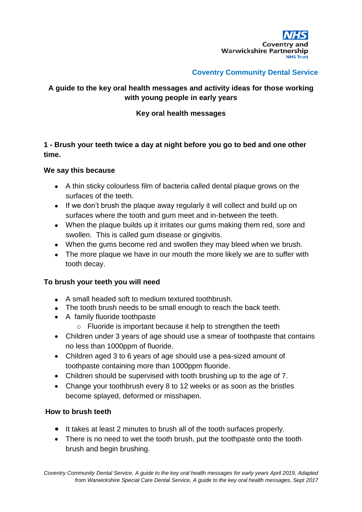

## **Coventry Community Dental Service**

# **A guide to the key oral health messages and activity ideas for those working with young people in early years**

## **Key oral health messages**

# **1 - Brush your teeth twice a day at night before you go to bed and one other time.**

#### **We say this because**

- A thin sticky colourless film of bacteria called dental plaque grows on the surfaces of the teeth.
- If we don't brush the plaque away regularly it will collect and build up on surfaces where the tooth and gum meet and in-between the teeth.
- When the plaque builds up it irritates our gums making them red, sore and swollen. This is called gum disease or gingivitis.
- When the gums become red and swollen they may bleed when we brush.
- The more plaque we have in our mouth the more likely we are to suffer with tooth decay.

### **To brush your teeth you will need**

- A small headed soft to medium textured toothbrush.
- The tooth brush needs to be small enough to reach the back teeth.
- A family fluoride toothpaste
	- $\circ$  Fluoride is important because it help to strengthen the teeth
- Children under 3 years of age should use a smear of toothpaste that contains no less than 1000ppm of fluoride.
- Children aged 3 to 6 years of age should use a pea-sized amount of toothpaste containing more than 1000ppm fluoride.
- Children should be supervised with tooth brushing up to the age of 7.
- Change your toothbrush every 8 to 12 weeks or as soon as the bristles become splayed, deformed or misshapen.

### **How to brush teeth**

- It takes at least 2 minutes to brush all of the tooth surfaces properly.
- There is no need to wet the tooth brush, put the toothpaste onto the tooth brush and begin brushing.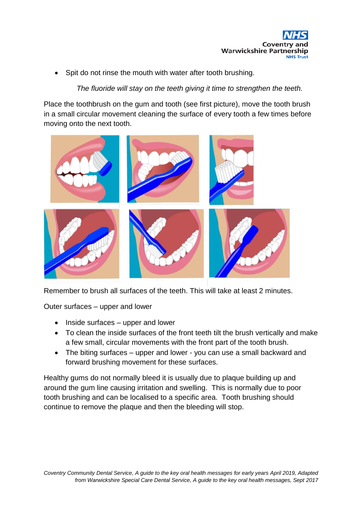

Spit do not rinse the mouth with water after tooth brushing.

# *The fluoride will stay on the teeth giving it time to strengthen the teeth.*

Place the toothbrush on the gum and tooth (see first picture), move the tooth brush in a small circular movement cleaning the surface of every tooth a few times before moving onto the next tooth.



Remember to brush all surfaces of the teeth. This will take at least 2 minutes.

Outer surfaces – upper and lower

- $\bullet$  Inside surfaces upper and lower
- To clean the inside surfaces of the front teeth tilt the brush vertically and make a few small, circular movements with the front part of the tooth brush.
- The biting surfaces upper and lower you can use a small backward and forward brushing movement for these surfaces.

Healthy gums do not normally bleed it is usually due to plaque building up and around the gum line causing irritation and swelling. This is normally due to poor tooth brushing and can be localised to a specific area. Tooth brushing should continue to remove the plaque and then the bleeding will stop.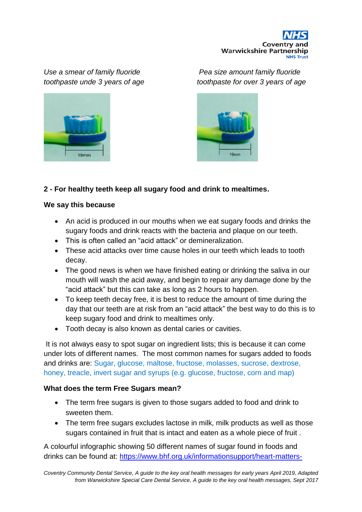



*Use a smear of family fluoride Pea size amount family fluoride toothpaste unde 3 years of age toothpaste for over 3 years of age*



# **2 - For healthy teeth keep all sugary food and drink to mealtimes.**

#### **We say this because**

- An acid is produced in our mouths when we eat sugary foods and drinks the sugary foods and drink reacts with the bacteria and plaque on our teeth.
- This is often called an "acid attack" or demineralization.
- These acid attacks over time cause holes in our teeth which leads to tooth decay.
- The good news is when we have finished eating or drinking the saliva in our mouth will wash the acid away, and begin to repair any damage done by the "acid attack" but this can take as long as 2 hours to happen.
- To keep teeth decay free, it is best to reduce the amount of time during the day that our teeth are at risk from an "acid attack" the best way to do this is to keep sugary food and drink to mealtimes only.
- Tooth decay is also known as dental caries or cavities.

It is not always easy to spot sugar on ingredient lists; this is because it can come under lots of different names. The most common names for sugars added to foods and drinks are: Sugar, glucose, maltose, fructose, molasses, sucrose, dextrose, honey, treacle, invert sugar and syrups (e.g. glucose, fructose, corn and map)

### **What does the term Free Sugars mean?**

- The term free sugars is given to those sugars added to food and drink to sweeten them.
- The term free sugars excludes lactose in milk, milk products as well as those sugars contained in fruit that is intact and eaten as a whole piece of fruit .

A colourful infographic showing 50 different names of sugar found in foods and drinks can be found at: [https://www.bhf.org.uk/informationsupport/heart-matters-](https://www.bhf.org.uk/informationsupport/heart-matters-magazine/nutrition/sugar-salt-and-fat/names-for-sugar-infographic)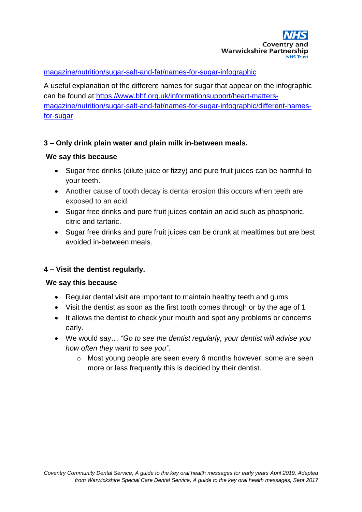#### [magazine/nutrition/sugar-salt-and-fat/names-for-sugar-infographic](https://www.bhf.org.uk/informationsupport/heart-matters-magazine/nutrition/sugar-salt-and-fat/names-for-sugar-infographic)

A useful explanation of the different names for sugar that appear on the infographic can be found at[:https://www.bhf.org.uk/informationsupport/heart-matters](https://www.bhf.org.uk/informationsupport/heart-matters-magazine/nutrition/sugar-salt-and-fat/names-for-sugar-infographic/different-names-for-sugar)[magazine/nutrition/sugar-salt-and-fat/names-for-sugar-infographic/different-names](https://www.bhf.org.uk/informationsupport/heart-matters-magazine/nutrition/sugar-salt-and-fat/names-for-sugar-infographic/different-names-for-sugar)[for-sugar](https://www.bhf.org.uk/informationsupport/heart-matters-magazine/nutrition/sugar-salt-and-fat/names-for-sugar-infographic/different-names-for-sugar)

### **3 – Only drink plain water and plain milk in-between meals.**

#### **We say this because**

- Sugar free drinks (dilute juice or fizzy) and pure fruit juices can be harmful to your teeth.
- Another cause of tooth decay is dental erosion this occurs when teeth are exposed to an acid.
- Sugar free drinks and pure fruit juices contain an acid such as phosphoric, citric and tartaric.
- Sugar free drinks and pure fruit juices can be drunk at mealtimes but are best avoided in-between meals.

### **4 – Visit the dentist regularly.**

#### **We say this because**

- Regular dental visit are important to maintain healthy teeth and gums
- Visit the dentist as soon as the first tooth comes through or by the age of 1
- It allows the dentist to check your mouth and spot any problems or concerns early.
- We would say… *"Go to see the dentist regularly, your dentist will advise you how often they want to see you".*
	- $\circ$  Most young people are seen every 6 months however, some are seen more or less frequently this is decided by their dentist.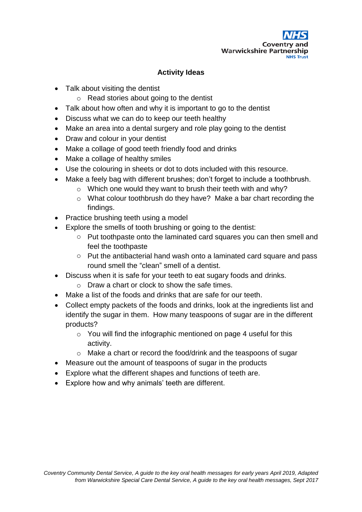

## **Activity Ideas**

- Talk about visiting the dentist
	- o Read stories about going to the dentist
- Talk about how often and why it is important to go to the dentist
- Discuss what we can do to keep our teeth healthy
- Make an area into a dental surgery and role play going to the dentist
- Draw and colour in your dentist
- Make a collage of good teeth friendly food and drinks
- Make a collage of healthy smiles
- Use the colouring in sheets or dot to dots included with this resource.
- Make a feely bag with different brushes; don't forget to include a toothbrush.
	- $\circ$  Which one would they want to brush their teeth with and why?
	- o What colour toothbrush do they have? Make a bar chart recording the findings.
- Practice brushing teeth using a model
- Explore the smells of tooth brushing or going to the dentist:
	- o Put toothpaste onto the laminated card squares you can then smell and feel the toothpaste
	- o Put the antibacterial hand wash onto a laminated card square and pass round smell the "clean" smell of a dentist.
- Discuss when it is safe for your teeth to eat sugary foods and drinks.
	- $\circ$  Draw a chart or clock to show the safe times.
- Make a list of the foods and drinks that are safe for our teeth.
- Collect empty packets of the foods and drinks, look at the ingredients list and identify the sugar in them. How many teaspoons of sugar are in the different products?
	- o You will find the infographic mentioned on page 4 useful for this activity.
	- o Make a chart or record the food/drink and the teaspoons of sugar
- Measure out the amount of teaspoons of sugar in the products
- Explore what the different shapes and functions of teeth are.
- Explore how and why animals' teeth are different.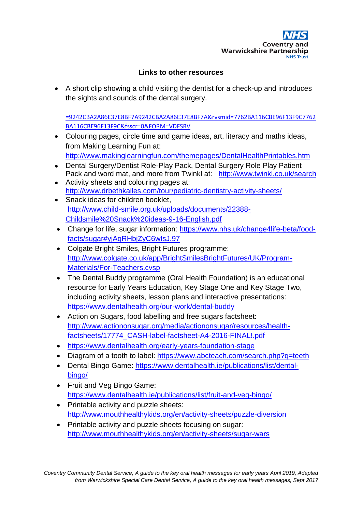

## **Links to other resources**

 A short clip showing a child visiting the dentist for a check-up and introduces the sights and sounds of the dental surgery.

[=9242CBA2A86E37E8BF7A9242CBA2A86E37E8BF7A&rvsmid=7762BA116CBE96F13F9C7762](http://www.bing.com/videos/search?q=youtube+going+to+the+dentist&&view=detail&mid=9242CBA2A86E37E8BF7A9242CBA2A86E37E8BF7A&rvsmid=7762BA116CBE96F13F9C7762BA116CBE96F13F9C&fsscr=0&FORM=VDFSRV) [BA116CBE96F13F9C&fsscr=0&FORM=VDFSRV](http://www.bing.com/videos/search?q=youtube+going+to+the+dentist&&view=detail&mid=9242CBA2A86E37E8BF7A9242CBA2A86E37E8BF7A&rvsmid=7762BA116CBE96F13F9C7762BA116CBE96F13F9C&fsscr=0&FORM=VDFSRV)

- Colouring pages, circle time and game ideas, art, literacy and maths ideas, from Making Learning Fun at: <http://www.makinglearningfun.com/themepages/DentalHealthPrintables.htm>
- Dental Surgery/Dentist Role-Play Pack, Dental Surgery Role Play Patient Pack and word mat, and more from Twinkl at: <http://www.twinkl.co.uk/search>
- Activity sheets and colouring pages at: <http://www.drbethkailes.com/tour/pediatric-dentistry-activity-sheets/>
- Snack ideas for children booklet, [http://www.child-smile.org.uk/uploads/documents/22388-](http://www.child-smile.org.uk/uploads/documents/22388-Childsmile%20Snack%20ideas-9-16-English.pdf) [Childsmile%20Snack%20ideas-9-16-English.pdf](http://www.child-smile.org.uk/uploads/documents/22388-Childsmile%20Snack%20ideas-9-16-English.pdf)
- Change for life, sugar information: [https://www.nhs.uk/change4life-beta/food](https://www.nhs.uk/change4life-beta/food-facts/sugar#yjAqRHbjZyC6wIsJ.97)[facts/sugar#yjAqRHbjZyC6wIsJ.97](https://www.nhs.uk/change4life-beta/food-facts/sugar#yjAqRHbjZyC6wIsJ.97)
- Colgate Bright Smiles, Bright Futures programme: [http://www.colgate.co.uk/app/BrightSmilesBrightFutures/UK/Program-](http://www.colgate.co.uk/app/BrightSmilesBrightFutures/UK/Program-Materials/For-Teachers.cvsp)[Materials/For-Teachers.cvsp](http://www.colgate.co.uk/app/BrightSmilesBrightFutures/UK/Program-Materials/For-Teachers.cvsp)
- The Dental Buddy programme (Oral Health Foundation) is an educational resource for Early Years Education, Key Stage One and Key Stage Two, including activity sheets, lesson plans and interactive presentations: <https://www.dentalhealth.org/our-work/dental-buddy>
- Action on Sugars, food labelling and free sugars factsheet: [http://www.actiononsugar.org/media/actiononsugar/resources/health](http://www.actiononsugar.org/media/actiononsugar/resources/health-factsheets/17774_CASH-label-factsheet-A4-2016-FINAL!.pdf)[factsheets/17774\\_CASH-label-factsheet-A4-2016-FINAL!.pdf](http://www.actiononsugar.org/media/actiononsugar/resources/health-factsheets/17774_CASH-label-factsheet-A4-2016-FINAL!.pdf)
- <https://www.dentalhealth.org/early-years-foundation-stage>
- Diagram of a tooth to label:<https://www.abcteach.com/search.php?q=teeth>
- Dental Bingo Game: [https://www.dentalhealth.ie/publications/list/dental](https://www.dentalhealth.ie/publications/list/dental-bingo/)[bingo/](https://www.dentalhealth.ie/publications/list/dental-bingo/)
- Fruit and Veg Bingo Game: <https://www.dentalhealth.ie/publications/list/fruit-and-veg-bingo/>
- Printable activity and puzzle sheets: <http://www.mouthhealthykids.org/en/activity-sheets/puzzle-diversion>
- Printable activity and puzzle sheets focusing on sugar: <http://www.mouthhealthykids.org/en/activity-sheets/sugar-wars>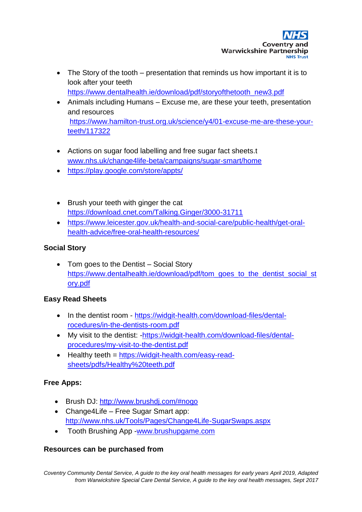- The Story of the tooth presentation that reminds us how important it is to look after your teeth [https://www.dentalhealth.ie/download/pdf/storyofthetooth\\_new3.pdf](https://www.dentalhealth.ie/download/pdf/storyofthetooth_new3.pdf)
- Animals including Humans Excuse me, are these your teeth, presentation and resources [https://www.hamilton-trust.org.uk/science/y4/01-excuse-me-are-these-your](https://www.hamilton-trust.org.uk/science/y4/01-excuse-me-are-these-your-teeth/117322)[teeth/117322](https://www.hamilton-trust.org.uk/science/y4/01-excuse-me-are-these-your-teeth/117322)
- Actions on sugar food labelling and free sugar fact sheets.t [www.nhs.uk/change4life-beta/campaigns/sugar-smart/home](http://www.nhs.uk/change4life-beta/campaigns/sugar-smart/home)
- <https://play.google.com/store/appts/>
- Brush your teeth with ginger the cat <https://download.cnet.com/Talking.Ginger/3000-31711>
- https://www.leicester.gov.uk/health-and-social-care/public-health/get-oralhealth-advice/free-oral-health-resources/

# **Social Story**

• Tom goes to the Dentist – Social Story [https://www.dentalhealth.ie/download/pdf/tom\\_goes\\_to\\_the\\_dentist\\_social\\_st](https://www.dentalhealth.ie/download/pdf/tom_goes_to_the_dentist_social_story.pdf) [ory.pdf](https://www.dentalhealth.ie/download/pdf/tom_goes_to_the_dentist_social_story.pdf)

# **Easy Read Sheets**

- In the dentist room [https://widgit-health.com/download-files/dental](https://widgit-health.com/download-files/dental-rocedures/in-the-dentists-room.pdf)[rocedures/in-the-dentists-room.pdf](https://widgit-health.com/download-files/dental-rocedures/in-the-dentists-room.pdf)
- My visit to the dentist: [-https://widgit-health.com/download-files/dental](https://widgit-health.com/download-files/dental-procedures/my-visit-to-the-dentist.pdf)[procedures/my-visit-to-the-dentist.pdf](https://widgit-health.com/download-files/dental-procedures/my-visit-to-the-dentist.pdf)
- Healthy teeth = [https://widgit-health.com/easy-read](https://widgit-health.com/easy-read-sheets/pdfs/Healthy%20teeth.pdf)[sheets/pdfs/Healthy%20teeth.pdf](https://widgit-health.com/easy-read-sheets/pdfs/Healthy%20teeth.pdf)

# **Free Apps:**

- Brush DJ: <http://www.brushdj.com/#nogo>
- Change4Life Free Sugar Smart app: <http://www.nhs.uk/Tools/Pages/Change4Life-SugarSwaps.aspx>
- Tooth Brushing App [-www.brushupgame.com](http://www.brushupgame.com/)

# **Resources can be purchased from**